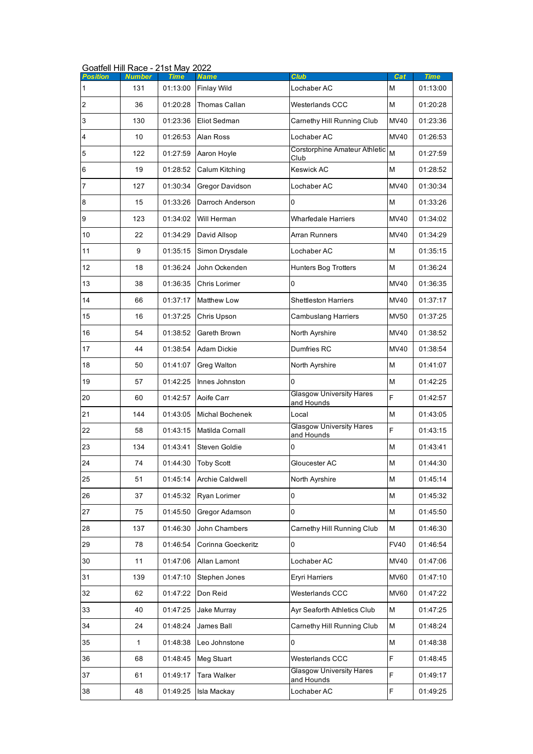|                  | Goatfell Hill Race - 21st May 2022 |          |                        |                                                |             |          |  |  |
|------------------|------------------------------------|----------|------------------------|------------------------------------------------|-------------|----------|--|--|
| <b>Position</b>  | <b>Number</b>                      | Time     | Name                   | Club                                           | Cat         | Time     |  |  |
| 1                | 131                                | 01:13:00 | <b>Finlay Wild</b>     | Lochaber AC                                    | M           | 01:13:00 |  |  |
| $\overline{c}$   | 36                                 | 01:20:28 | Thomas Callan          | <b>Westerlands CCC</b>                         | M           | 01:20:28 |  |  |
| 3                | 130                                | 01:23:36 | Eliot Sedman           | Carnethy Hill Running Club                     | <b>MV40</b> | 01:23:36 |  |  |
| 4                | 10                                 | 01:26:53 | Alan Ross              | Lochaber AC<br>Corstorphine Amateur Athletic M | <b>MV40</b> | 01:26:53 |  |  |
| 5                | 122                                | 01:27:59 | Aaron Hoyle            | Club                                           |             | 01:27:59 |  |  |
| $\,$ 6           | 19                                 | 01:28:52 | Calum Kitching         | <b>Keswick AC</b>                              | M           | 01:28:52 |  |  |
| 7                | 127                                | 01:30:34 | Gregor Davidson        | Lochaber AC                                    | <b>MV40</b> | 01:30:34 |  |  |
| $\boldsymbol{8}$ | 15                                 | 01:33:26 | Darroch Anderson       | $\overline{0}$                                 | M           | 01:33:26 |  |  |
| $\boldsymbol{9}$ | 123                                | 01:34:02 | Will Herman            | <b>Wharfedale Harriers</b>                     | <b>MV40</b> | 01:34:02 |  |  |
| 10               | 22                                 | 01:34:29 | David Allsop           | <b>Arran Runners</b>                           | <b>MV40</b> | 01:34:29 |  |  |
| 11               | 9                                  | 01:35:15 | Simon Drysdale         | Lochaber AC                                    | M           | 01:35:15 |  |  |
| 12               | 18                                 | 01:36:24 | John Ockenden          | <b>Hunters Bog Trotters</b>                    | M           | 01:36:24 |  |  |
| 13               | 38                                 | 01:36:35 | Chris Lorimer          | 0                                              | <b>MV40</b> | 01:36:35 |  |  |
| 14               | 66                                 | 01:37:17 | <b>Matthew Low</b>     | <b>Shettleston Harriers</b>                    | MV40        | 01:37:17 |  |  |
| 15               | 16                                 | 01:37:25 | Chris Upson            | <b>Cambuslang Harriers</b>                     | <b>MV50</b> | 01:37:25 |  |  |
| 16               | 54                                 | 01:38:52 | Gareth Brown           | North Ayrshire                                 | <b>MV40</b> | 01:38:52 |  |  |
| 17               | 44                                 | 01:38:54 | <b>Adam Dickie</b>     | Dumfries RC                                    | MV40        | 01:38:54 |  |  |
| 18               | 50                                 | 01:41:07 | Greg Walton            | North Ayrshire                                 | M           | 01:41:07 |  |  |
| 19               | 57                                 | 01:42:25 | Innes Johnston         | $\Omega$                                       | M           | 01:42:25 |  |  |
| 20               | 60                                 | 01:42:57 | Aoife Carr             | <b>Glasgow University Hares</b><br>and Hounds  | F           | 01:42:57 |  |  |
| 21               | 144                                | 01:43:05 | <b>Michal Bochenek</b> | Local                                          | M           | 01:43:05 |  |  |
| 22               | 58                                 | 01:43:15 | Matilda Cornall        | <b>Glasgow University Hares</b><br>and Hounds  | F           | 01:43:15 |  |  |
| 23               | 134                                | 01:43:41 | Steven Goldie          | 0                                              | M           | 01:43:41 |  |  |
| 24               | 74                                 |          | 01:44:30 Toby Scott    | Gloucester AC                                  | M           | 01:44:30 |  |  |
| 25               | 51                                 | 01:45:14 | Archie Caldwell        | North Ayrshire                                 | M           | 01:45:14 |  |  |
| 26               | 37                                 | 01:45:32 | Ryan Lorimer           | 0                                              | M           | 01:45:32 |  |  |
| 27               | 75                                 | 01:45:50 | Gregor Adamson         | $\overline{0}$                                 | M           | 01:45:50 |  |  |
| 28               | 137                                | 01:46:30 | John Chambers          | Carnethy Hill Running Club                     | M           | 01:46:30 |  |  |
| 29               | 78                                 | 01:46:54 | Corinna Goeckeritz     | 0                                              | <b>FV40</b> | 01:46:54 |  |  |
| 30               | 11                                 | 01:47:06 | Allan Lamont           | Lochaber AC                                    | <b>MV40</b> | 01:47:06 |  |  |
| 31               | 139                                | 01:47:10 | Stephen Jones          | <b>Eryri Harriers</b>                          | <b>MV60</b> | 01:47:10 |  |  |
| 32               | 62                                 | 01:47:22 | Don Reid               | Westerlands CCC                                | <b>MV60</b> | 01:47:22 |  |  |
| 33               | 40                                 | 01:47:25 | Jake Murray            | Ayr Seaforth Athletics Club                    | M           | 01:47:25 |  |  |
| 34               | 24                                 | 01:48:24 | James Ball             | Carnethy Hill Running Club                     | М           | 01:48:24 |  |  |
| 35               | 1                                  | 01:48:38 | Leo Johnstone          | 0                                              | M           | 01:48:38 |  |  |
| 36               | 68                                 | 01:48:45 | Meg Stuart             | <b>Westerlands CCC</b>                         | F           | 01:48:45 |  |  |
| 37               | 61                                 | 01:49:17 | Tara Walker            | <b>Glasgow University Hares</b><br>and Hounds  | F           | 01:49:17 |  |  |
| 38               | 48                                 | 01:49:25 | Isla Mackay            | Lochaber AC                                    | F           | 01:49:25 |  |  |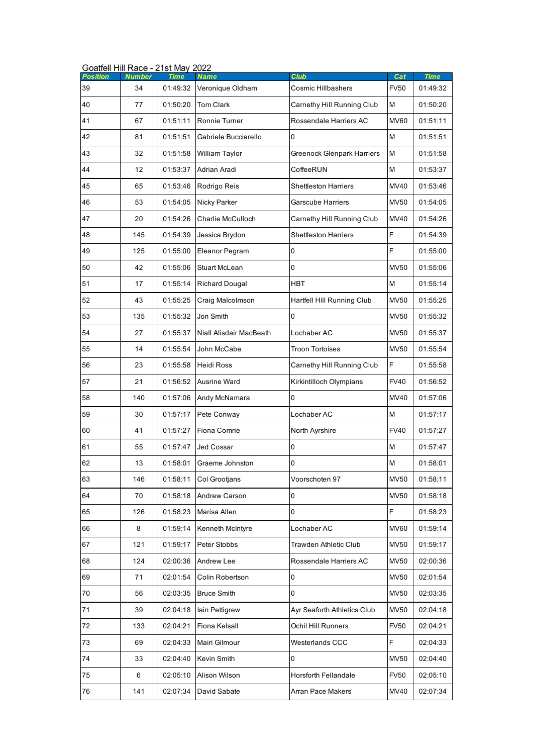| <b>Position</b> | GUALIEII FIIII RACE - Z ISL MAY ZUZZ<br><b>Number</b> | <b>Time</b> | <b>Name</b>             | Club                              | Cat                                                                                   | <b>Time</b> |
|-----------------|-------------------------------------------------------|-------------|-------------------------|-----------------------------------|---------------------------------------------------------------------------------------|-------------|
| 39              | 34                                                    | 01:49:32    | Veronique Oldham        | <b>Cosmic Hillbashers</b>         | <b>FV50</b>                                                                           | 01:49:32    |
| 40              | 77                                                    | 01:50:20    | <b>Tom Clark</b>        | Carnethy Hill Running Club        | M                                                                                     | 01:50:20    |
| 41              | 67                                                    | 01:51:11    | Ronnie Turner           | Rossendale Harriers AC            | <b>MV60</b>                                                                           | 01:51:11    |
| 42              | 81                                                    | 01:51:51    | Gabriele Bucciarello    | 0                                 | M                                                                                     | 01:51:51    |
| 43              | 32                                                    | 01:51:58    | William Taylor          | <b>Greenock Glenpark Harriers</b> | M                                                                                     | 01:51:58    |
| 44              | 12                                                    | 01:53:37    | Adrian Aradi            | CoffeeRUN                         | M                                                                                     | 01:53:37    |
| 45              | 65                                                    | 01:53:46    | Rodrigo Reis            | <b>Shettleston Harriers</b>       | <b>MV40</b>                                                                           | 01:53:46    |
| 46              | 53                                                    | 01:54:05    | <b>Nicky Parker</b>     | Garscube Harriers                 | <b>MV50</b>                                                                           | 01:54:05    |
| 47              | 20                                                    | 01:54:26    | Charlie McCulloch       | Carnethy Hill Running Club        | MV40                                                                                  | 01:54:26    |
| 48              | 145                                                   | 01:54:39    | Jessica Brydon          | <b>Shettleston Harriers</b>       | F                                                                                     | 01:54:39    |
| 49              | 125                                                   | 01:55:00    | Eleanor Pegram          | 0                                 | F                                                                                     | 01:55:00    |
| 50              | 42                                                    | 01:55:06    | Stuart McLean           | 0                                 | <b>MV50</b>                                                                           | 01:55:06    |
| 51              | 17                                                    | 01:55:14    | <b>Richard Dougal</b>   | <b>HBT</b>                        | M                                                                                     | 01:55:14    |
| 52              | 43                                                    | 01:55:25    | Craig Malcolmson        | Hartfell Hill Running Club        | <b>MV50</b>                                                                           | 01:55:25    |
| 53              | 135                                                   | 01:55:32    | Jon Smith               | 0                                 | <b>MV50</b>                                                                           | 01:55:32    |
| 54              | 27                                                    | 01:55:37    | Niall Alisdair MacBeath | Lochaber AC                       | <b>MV50</b>                                                                           | 01:55:37    |
| 55              | 14                                                    | 01:55:54    | John McCabe             | <b>Troon Tortoises</b>            | <b>MV50</b>                                                                           | 01:55:54    |
| 56              | 23                                                    | 01:55:58    | Heidi Ross              | Carnethy Hill Running Club        | F                                                                                     | 01:55:58    |
| 57              | 21                                                    | 01:56:52    | <b>Ausrine Ward</b>     | Kirkintilloch Olympians           | <b>FV40</b>                                                                           | 01:56:52    |
| 58              | 140                                                   | 01:57:06    | Andy McNamara           | 0                                 | MV40                                                                                  | 01:57:06    |
| 59              | 30                                                    | 01:57:17    | Pete Conway             | Lochaber AC                       | M                                                                                     | 01:57:17    |
| 60              | 41                                                    | 01:57:27    | Fiona Comrie            | North Ayrshire                    | <b>FV40</b>                                                                           | 01:57:27    |
| 61              | 55                                                    | 01:57:47    | Jed Cossar              | 0                                 | M                                                                                     | 01:57:47    |
| 62              | 13                                                    | 01:58:01    | Graeme Johnston         | 0                                 | $\mathsf{M}% _{T}=\mathsf{M}_{T}\!\left( a,b\right) ,\ \mathsf{M}_{T}=\mathsf{M}_{T}$ | 01:58:01    |
| 63              | 146                                                   | 01:58:11    | Col Grootjans           | Voorschoten 97                    | <b>MV50</b>                                                                           | 01:58:11    |
| 64              | 70                                                    | 01:58:18    | Andrew Carson           | 0                                 | <b>MV50</b>                                                                           | 01:58:18    |
| 65              | 126                                                   | 01:58:23    | Marisa Allen            | 0                                 | F                                                                                     | 01:58:23    |
| 66              | 8                                                     | 01:59:14    | Kenneth McIntyre        | Lochaber AC                       | <b>MV60</b>                                                                           | 01:59:14    |
| 67              | 121                                                   | 01:59:17    | Peter Stobbs            | Trawden Athletic Club             | <b>MV50</b>                                                                           | 01:59:17    |
| 68              | 124                                                   | 02:00:36    | Andrew Lee              | Rossendale Harriers AC            | <b>MV50</b>                                                                           | 02:00:36    |
| 69              | 71                                                    | 02:01:54    | Colin Robertson         | 0                                 | <b>MV50</b>                                                                           | 02:01:54    |
| 70              | 56                                                    | 02:03:35    | <b>Bruce Smith</b>      | 0                                 | <b>MV50</b>                                                                           | 02:03:35    |
| 71              | 39                                                    | 02:04:18    | lain Pettigrew          | Ayr Seaforth Athletics Club       | <b>MV50</b>                                                                           | 02:04:18    |
| 72              | 133                                                   | 02:04:21    | Fiona Kelsall           | Ochil Hill Runners                | <b>FV50</b>                                                                           | 02:04:21    |
| 73              | 69                                                    | 02:04:33    | Mairi Gilmour           | Westerlands CCC                   | F                                                                                     | 02:04:33    |
| 74              | 33                                                    | 02:04:40    | Kevin Smith             | 0                                 | <b>MV50</b>                                                                           | 02:04:40    |
| 75              | 6                                                     | 02:05:10    | Alison Wilson           | Horsforth Fellandale              | <b>FV50</b>                                                                           | 02:05:10    |
| 76              | 141                                                   | 02:07:34    | David Sabate            | Arran Pace Makers                 | <b>MV40</b>                                                                           | 02:07:34    |

Goatfell Hill Race - 21st May 2022